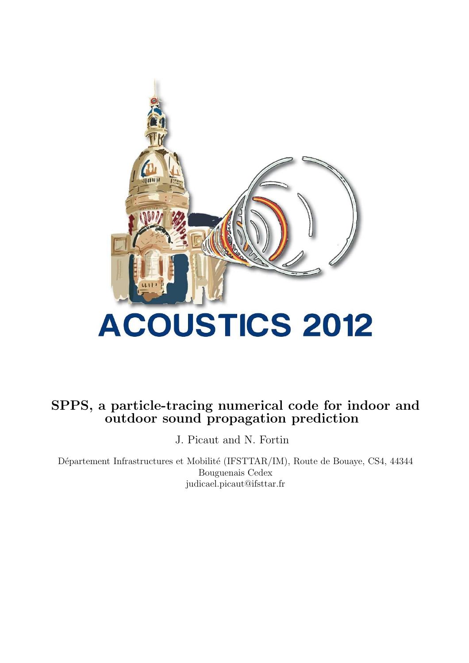

# SPPS, a particle-tracing numerical code for indoor and<br>outdoor sound propagation prediction

J. Picaut and N. Fortin

Département Infrastructures et Mobilité (IFSTTAR/IM), Route de Bouaye, CS4, 44344 Bouguenais Cedex judicael.picaut@ifsttar.fr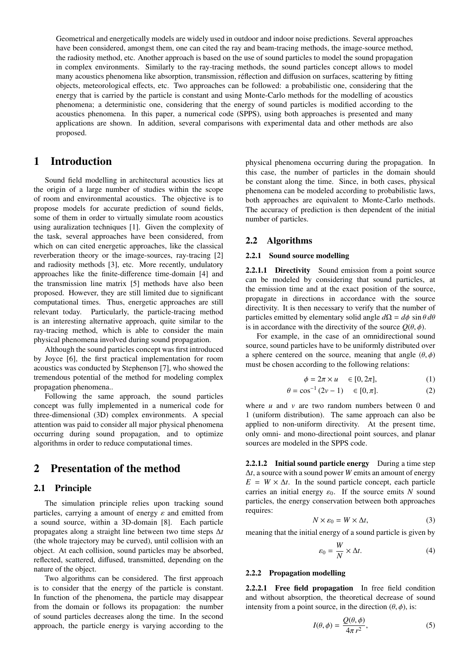Geometrical and energetically models are widely used in outdoor and indoor noise predictions. Several approaches have been considered, amongst them, one can cited the ray and beam-tracing methods, the image-source method, the radiosity method, etc. Another approach is based on the use of sound particles to model the sound propagation in complex environments. Similarly to the ray-tracing methods, the sound particles concept allows to model many acoustics phenomena like absorption, transmission, réflection and diffusion on surfaces, scattering by fitting objects, meteorological effects, etc. Two approaches can be followed: a probabilistic one, considering that the energy that is carried by the particle is constant and using Monte-Carlo methods for the modelling of acoustics phenomena; a deterministic one, considering that the energy of sound particles is modified according to the acoustics phenomena. In this paper, a numerical code (SPPS), using both approaches is presented and many applications are shown. In addition, several comparisons with experimental data and other methods are also proposed.

#### **Introduction**  $\mathbf{1}$

Sound field modelling in architectural acoustics lies at the origin of a large number of studies within the scope of room and environmental acoustics. The objective is to propose models for accurate prediction of sound fields, some of them in order to virtually simulate room acoustics using auralization techniques [1]. Given the complexity of the task, several approaches have been considered, from which on can cited energetic approaches, like the classical reverberation theory or the image-sources, ray-tracing [2] and radiosity methods [3], etc. More recently, undulatory approaches like the finite-difference time-domain [4] and the transmission line matrix [5] methods have also been proposed. However, they are still limited due to significant computational times. Thus, energetic approaches are still relevant today. Particularly, the particle-tracing method is an interesting alternative approach, quite similar to the ray-tracing method, which is able to consider the main physical phenomena involved during sound propagation.

Although the sound particles concept was first introduced by Joyce [6], the first practical implementation for room acoustics was conducted by Stephenson [7], who showed the tremendous potential of the method for modeling complex propagation phenomena...

Following the same approach, the sound particles concept was fully implemented in a numerical code for three-dimensional (3D) complex environments. A special attention was paid to consider all major physical phenomena occurring during sound propagation, and to optimize algorithms in order to reduce computational times.

#### $\overline{2}$ **Presentation of the method**

# 2.1 Principle

The simulation principle relies upon tracking sound particles, carrying a amount of energy  $\varepsilon$  and emitted from a sound source, within a 3D-domain [8]. Each particle propagates along a straight line between two time steps  $\Delta t$ (the whole trajectory may be curved), until collision with an object. At each collision, sound particles may be absorbed, reflected, scattered, diffused, transmitted, depending on the nature of the object.

Two algorithms can be considered. The first approach is to consider that the energy of the particle is constant. In function of the phenomena, the particle may disappear from the domain or follows its propagation: the number of sound particles decreases along the time. In the second approach, the particle energy is varying according to the physical phenomena occurring during the propagation. In this case, the number of particles in the domain should be constant along the time. Since, in both cases, physical phenomena can be modeled according to probabilistic laws, both approaches are equivalent to Monte-Carlo methods. The accuracy of prediction is then dependent of the initial number of particles.

#### $2.2$ **Algorithms**

# 2.2.1 Sound source modelling

2.2.1.1 Directivity Sound emission from a point source can be modeled by considering that sound particles, at the emission time and at the exact position of the source, propagate in directions in accordance with the source directivity. It is then necessary to verify that the number of particles emitted by elementary solid angle  $d\Omega = d\phi \sin\theta d\theta$ is in accordance with the directivity of the source  $O(\theta, \phi)$ .

For example, in the case of an omnidirectional sound source, sound particles have to be uniformly distributed over a sphere centered on the source, meaning that angle  $(\theta, \phi)$ must be chosen according to the following relations:

$$
\phi = 2\pi \times u \quad \in [0, 2\pi], \tag{1}
$$

$$
\theta = \cos^{-1}(2\nu - 1) \quad \in [0, \pi]. \tag{2}
$$

where  $u$  and  $v$  are two random numbers between 0 and 1 (uniform distribution). The same approach can also be applied to non-uniform directivity. At the present time, only omni- and mono-directional point sources, and planar sources are modeled in the SPPS code.

2.2.1.2 Initial sound particle energy During a time step  $\Delta t$ , a source with a sound power W emits an amount of energy  $E = W \times \Delta t$ . In the sound particle concept, each particle carries an initial energy  $\varepsilon_0$ . If the source emits N sound particles, the energy conservation between both approaches requires:

$$
N \times \varepsilon_0 = W \times \Delta t,\tag{3}
$$

meaning that the initial energy of a sound particle is given by

$$
\varepsilon_0 = \frac{W}{N} \times \Delta t. \tag{4}
$$

## 2.2.2 Propagation modelling

2.2.2.1 Free field propagation In free field condition and without absorption, the theoretical decrease of sound intensity from a point source, in the direction  $(\theta, \phi)$ , is:

$$
I(\theta,\phi) = \frac{Q(\theta,\phi)}{4\pi r^2},\tag{5}
$$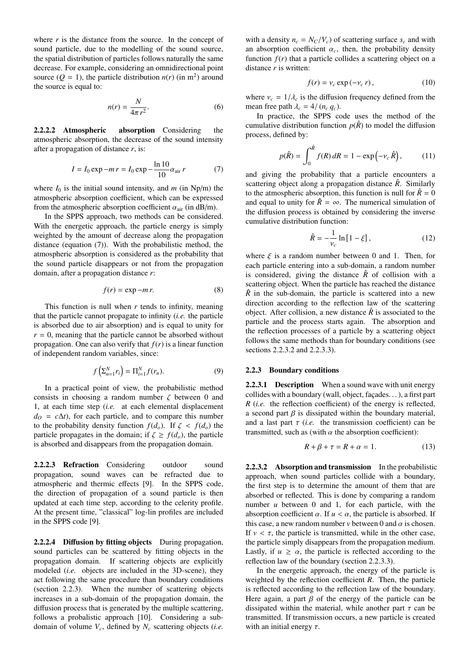where  $r$  is the distance from the source. In the concept of sound particle, due to the modelling of the sound source, the spatial distribution of particles follows naturally the same decrease. For example, considering an omnidirectional point source ( $Q = 1$ ), the particle distribution  $n(r)$  (in m<sup>2</sup>) around the source is equal to:

$$
n(r) = \frac{N}{4\pi r^2}.
$$
 (6)

2.2.2.2 Atmospheric absorption Considering the atmospheric absorption, the decrease of the sound intensity after a propagation of distance  $r$ , is:

$$
I = I_0 \exp - mr = I_0 \exp - \frac{\ln 10}{10} \alpha_{\text{air}} r \tag{7}
$$

where  $I_0$  is the initial sound intensity, and m (in Np/m) the atmospheric absorption coefficient, which can be expressed from the atmospheric absorption coefficient  $\alpha_{\text{air}}$  (in dB/m).

In the SPPS approach, two methods can be considered. With the energetic approach, the particle energy is simply weighted by the amount of decrease along the propagation distance (equation  $(7)$ ). With the probabilistic method, the atmospheric absorption is considered as the probability that the sound particle disappears or not from the propagation domain, after a propagation distance  $r$ .

$$
f(r) = \exp - mr.
$$
 (8)

This function is null when  $r$  tends to infinity, meaning that the particle cannot propagate to infinity  $(i.e.$  the particle is absorbed due to air absorption) and is equal to unity for  $r = 0$ , meaning that the particle cannot be absorbed without propagation. One can also verify that  $f(r)$  is a linear function of independent random variables, since:

$$
f\left(\sum_{n=1}^{N} r_i\right) = \Pi_{i=1}^{N} f(r_n). \tag{9}
$$

In a practical point of view, the probabilistic method consists in choosing a random number  $\zeta$  between 0 and 1, at each time step (i.e. at each elemental displacement  $d_0 = c\Delta t$ , for each particle, and to compare this number to the probability density function  $f(d_o)$ . If  $\zeta < f(d_o)$  the particle propagates in the domain; if  $\zeta \ge f(d_o)$ , the particle is absorbed and disappears from the propagation domain.

2.2.2.3 Refraction Considering outdoor sound propagation, sound waves can be refracted due to atmospheric and thermic effects [9]. In the SPPS code, the direction of propagation of a sound particle is then updated at each time step, according to the celerity profile. At the present time, "classical" log-lin profiles are included in the SPPS code [9].

2.2.2.4 Diffusion by fitting objects During propagation, sound particles can be scattered by fitting objects in the propagation domain. If scattering objects are explicitly modeled (i.e. objects are included in the 3D-scene), they act following the same procedure than boundary conditions (section 2.2.3). When the number of scattering objects increases in a sub-domain of the propagation domain, the diffusion process that is generated by the multiple scattering, follows a probalistic approach [10]. Considering a subdomain of volume  $V_c$ , defined by  $N_c$  scattering objects (*i.e.*  with a density  $n_c = N_C/V_c$  of scattering surface  $s_c$  and with an absorption coefficient  $\alpha_c$ , then, the probability density function  $f(r)$  that a particle collides a scattering object on a distance  $r$  is written:

$$
f(r) = v_c \exp(-v_c r), \qquad (10)
$$

where  $v_c = 1/\lambda_c$  is the diffusion frequency defined from the mean free path  $\lambda_c = 4/(n_c q_c)$ .

In practice, the SPPS code uses the method of the cumulative distribution function  $p(\hat{R})$  to model the diffusion process, defined by:

$$
p(\hat{R}) = \int_0^{\hat{R}} f(R) \, dR = 1 - \exp\left(-\nu_c \,\hat{R}\right),\tag{11}
$$

and giving the probability that a particle encounters a scattering object along a propagation distance  $\hat{R}$ . Similarly to the atmospheric absorption, this function is null for  $\hat{R} = 0$ and equal to unity for  $\hat{R} = \infty$ . The numerical simulation of the diffusion process is obtained by considering the inverse cumulative distribution function:

$$
\hat{R} = -\frac{1}{v_c} \ln\left[1 - \xi\right],\tag{12}
$$

where  $\xi$  is a random number between 0 and 1. Then, for each particle entering into a sub-domain, a random number is considered, giving the distance  $\hat{R}$  of collision with a scattering object. When the particle has reached the distance  $\hat{R}$  in the sub-domain, the particle is scattered into a new direction according to the reflection law of the scattering object. After collision, a new distance  $\hat{R}$  is associated to the particle and the process starts again. The absorption and the reflection processes of a particle by a scattering object follows the same methods than for boundary conditions (see sections 2.2.3.2 and 2.2.3.3).

## 2.2.3 Boundary conditions

**2.2.3.1 Description** When a sound wave with unit energy collides with a boundary (wall, object, façades...), a first part  $R$  (*i.e.* the reflection coefficient) of the energy is reflected, a second part  $\beta$  is dissipated within the boundary material, and a last part  $\tau$  (*i.e.* the transmission coefficient) can be transmitted, such as (with  $\alpha$  the absorption coefficient):

$$
R + \beta + \tau = R + \alpha = 1. \tag{13}
$$

2.2.3.2 Absorption and transmission In the probabilistic approach, when sound particles collide with a boundary, the first step is to determine the amount of them that are absorbed or reflected. This is done by comparing a random number  $u$  between 0 and 1, for each particle, with the absorption coefficient  $\alpha$ . If  $u < \alpha$ , the particle is absorbed. If this case, a new random number v between 0 and  $\alpha$  is chosen. If  $v < \tau$ , the particle is transmitted, while in the other case, the particle simply disappears from the propagation medium. Lastly, if  $u \ge \alpha$ , the particle is reflected according to the reflection law of the boundary (section 2.2.3.3).

In the energetic approach, the energy of the particle is weighted by the reflection coefficient  $R$ . Then, the particle is reflected according to the reflection law of the boundary. Here again, a part  $\beta$  of the energy of the particle can be dissipated within the material, while another part  $\tau$  can be transmitted. If transmission occurs, a new particle is created with an initial energy  $\tau$ .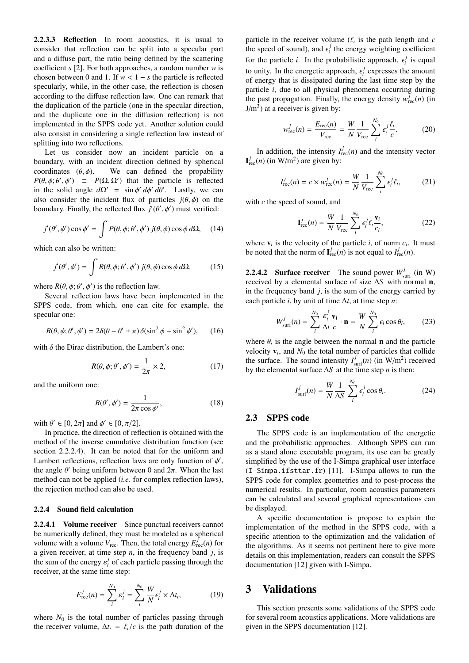2.2.3.3 Reflection In room acoustics, it is usual to consider that reflection can be split into a specular part and a diffuse part, the ratio being defined by the scattering coefficient  $s$  [2]. For both approaches, a random number  $w$  is chosen between 0 and 1. If  $w < 1 - s$  the particle is reflected specularly, while, in the other case, the reflection is chosen according to the diffuse reflection law. One can remark that the duplication of the particle (one in the specular direction, and the duplicate one in the diffusion reflection) is not implemented in the SPPS code yet. Another solution could also consist in considering a single reflection law instead of splitting into two reflections.

Let us consider now an incident particle on a boundary, with an incident direction defined by spherical coordinates  $(\theta, \phi)$ . We can defined the propability  $P(\theta, \phi; \theta', \phi') = P(\Omega, \Omega')$  that the particle is reflected in the solid angle  $d\Omega' = \sin \phi' d\phi' d\theta'$ . Lastly, we can also consider the incident flux of particles  $j(\theta, \phi)$  on the boundary. Finally, the reflected flux  $j'(\theta', \phi')$  must verified:

$$
j'(\theta', \phi') \cos \phi' = \int P(\theta, \phi; \theta', \phi') j(\theta, \phi) \cos \phi \, d\Omega, \quad (14)
$$

which can also be written:

$$
j'(\theta', \phi') = \int R(\theta, \phi; \theta', \phi') j(\theta, \phi) \cos \phi \, d\Omega. \tag{15}
$$

where  $R(\theta, \phi; \theta', \phi')$  is the reflection law.

Several reflection laws have been implemented in the SPPS code, from which, one can cite for example, the specular one:

$$
R(\theta, \phi; \theta', \phi') = 2\delta(\theta - \theta' \pm \pi) \,\delta(\sin^2 \phi - \sin^2 \phi'),\qquad(16)
$$

with  $\delta$  the Dirac distribution, the Lambert's one:

$$
R(\theta, \phi; \theta', \phi') = \frac{1}{2\pi} \times 2, \tag{17}
$$

and the uniform one:

$$
R(\theta', \phi') = \frac{1}{2\pi \cos \phi'},
$$
\n(18)

with  $\theta' \in [0, 2\pi]$  and  $\phi' \in [0, \pi/2]$ .

In practice, the direction of reflection is obtained with the method of the inverse cumulative distribution function (see section 2.2.2.4). It can be noted that for the uniform and Lambert reflections, reflection laws are only function of  $\phi'$ , the angle  $\theta'$  being uniform between 0 and  $2\pi$ . When the last method can not be applied (*i.e.* for complex reflection laws), the rejection method can also be used.

### 2.2.4 Sound field calculation

2.2.4.1 Volume receiver Since punctual receivers cannot be numerically defined, they must be modeled as a spherical volume with a volume  $V_{\text{rec}}$ . Then, the total energy  $E_{\text{rec}}^{J}(n)$  for a given receiver, at time step  $n$ , in the frequency band  $j$ , is the sum of the energy  $\varepsilon_i^j$  of each particle passing through the receiver, at the same time step:

$$
E_{\text{rec}}^j(n) = \sum_{i}^{N_0} \varepsilon_i^j = \sum_{i}^{N_0} \frac{W}{N} \varepsilon_i^j \times \Delta t_i, \qquad (19)
$$

where  $N_0$  is the total number of particles passing through the receiver volume,  $\Delta t_i = \ell_i/c$  is the path duration of the particle in the receiver volume  $(\ell_i)$  is the path length and c the speed of sound), and  $\epsilon_i^j$  the energy weighting coefficient for the particle *i*. In the probabilistic approach,  $\epsilon_i^j$  is equal to unity. In the energetic approach,  $\epsilon_i^j$  expresses the amount of energy that is dissipated during the last time step by the particle *i*, due to all physical phenomena occurring during the past propagation. Finally, the energy density  $w_{\text{rec}}^j(n)$  (in  $J/m<sup>3</sup>$ ) at a receiver is given by:

$$
w_{\text{rec}}^j(n) = \frac{E_{\text{rec}}(n)}{V_{\text{rec}}} = \frac{W}{N} \frac{1}{V_{\text{rec}}} \sum_{i}^{N_0} \epsilon_i^j \frac{\ell_i}{c}.
$$
 (20)

In addition, the intensity  $I_{\text{rec}}^j(n)$  and the intensity vector  $I_{\text{rec}}^{j}(n)$  (in W/m<sup>2</sup>) are given by:

$$
I_{\rm rec}^j(n) = c \times w_{\rm rec}^j(n) = \frac{W}{N} \frac{1}{V_{\rm rec}} \sum_{i}^{N_0} \epsilon_i^j \ell_i,
$$
 (21)

with  $c$  the speed of sound, and

$$
\mathbf{I}_{\text{rec}}^j(n) = \frac{W}{N} \frac{1}{V_{\text{rec}}} \sum_{i}^{N_0} \epsilon_i^j \ell_i \frac{\mathbf{v}_i}{c_i},\tag{22}
$$

where  $v_i$  is the velocity of the particle *i*, of norm  $c_i$ . It must be noted that the norm of  $I_{\text{rec}}^J(n)$  is not equal to  $I_{\text{rec}}^J(n)$ .

**2.2.4.2** Surface receiver The sound power  $W_{\text{surf}}^j$  (in W) received by a elemental surface of size  $\Delta S$  with normal **n**, in the frequency band  $j$ , is the sum of the energy carried by each particle *i*, by unit of time  $\Delta t$ , at time step *n*:

$$
W_{\text{surf}}^j(n) = \sum_{i}^{N_0} \frac{\varepsilon_i^j}{\Delta t} \frac{\mathbf{v_i}}{c} \cdot \mathbf{n} = \frac{W}{N} \sum_{i}^{N_0} \epsilon_i \cos \theta_i, \qquad (23)
$$

where  $\theta_i$  is the angle between the normal **n** and the particle velocity  $v_i$ , and  $N_0$  the total number of particles that collide the surface. The sound intensity  $I_{\text{surf}}^{j}(n)$  (in W/m<sup>2</sup>) received by the elemental surface  $\Delta S$  at the time step *n* is then:

$$
I_{\text{surf}}^j(n) = \frac{W}{N} \frac{1}{\Delta S} \sum_{i}^{N_0} \epsilon_i^j \cos \theta_i.
$$
 (24)

#### **SPPS** code  $2.3$

The SPPS code is an implementation of the energetic and the probabilistic approaches. Although SPPS can run as a stand alone executable program, its use can be greatly simplified by the use of the I-Simpa graphical user interface  $(I-Simpa.ifsttar.fr)$  [11]. I-Simpa allows to run the SPPS code for complex geometries and to post-process the numerical results. In particular, room acoustics parameters can be calculated and several graphical representations can be displayed.

A specific documentation is propose to explain the implementation of the method in the SPPS code, with a specific attention to the optimization and the validation of the algorithms. As it seems not pertinent here to give more details on this implementation, readers can consult the SPPS documentation [12] given with I-Simpa.

#### **Validations** 3

This section presents some validations of the SPPS code for several room acoustics applications. More validations are given in the SPPS documentation [12].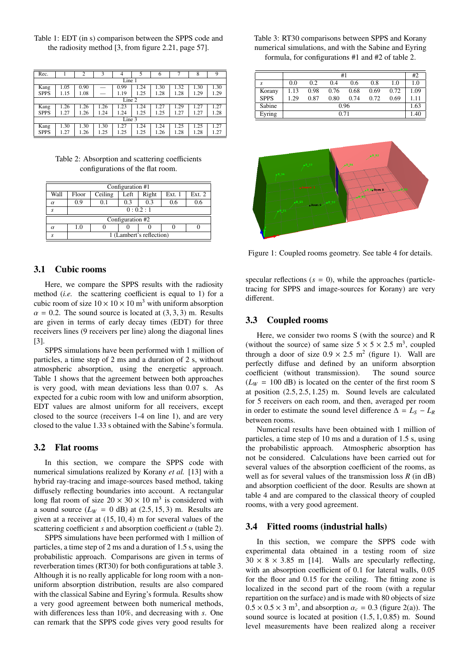Table 1: EDT (in s) comparison between the SPPS code and the radiosity method  $[3, from figure 2.21, page 57]$ .

| Rec.        |        | $\overline{c}$ | 3    | 4    | 5    | 6    |      | 8    | 9    |
|-------------|--------|----------------|------|------|------|------|------|------|------|
|             | Line 1 |                |      |      |      |      |      |      |      |
| Kang        | 1.05   | 0.90           |      | 0.99 | 1.24 | 1.30 | 1.32 | 1.30 | 1.30 |
| <b>SPPS</b> | 1.15   | 1.08           |      | 1.19 | 1.25 | 1.28 | 1.28 | 1.29 | 1.29 |
|             | Line 2 |                |      |      |      |      |      |      |      |
| Kang        | 1.26   | .26            | 1.26 | 1.23 | .24  | 1.27 | 1.29 | 1.27 | 1.27 |
| <b>SPPS</b> | 1.27   | 1.26           | 1.24 | 1.24 | 1.25 | 1.25 | 1.27 | 1.27 | 1.28 |
| Line 3      |        |                |      |      |      |      |      |      |      |
| Kang        | 1.30   | 1.30           | 1.30 | 1.27 | 1.24 | 1.24 | 1.25 | 1.25 | 1.27 |
| <b>SPPS</b> | 1.27   | 1.26           | 1.25 | 1.25 | 1.25 | 1.26 | 1.28 | 1.28 | 1.27 |

Table 2: Absorption and scattering coefficients configurations of the flat room.

| Configuration #1 |                          |         |      |       |        |          |  |  |  |
|------------------|--------------------------|---------|------|-------|--------|----------|--|--|--|
| Wall             | Floor                    | Ceiling | Left | Right | Ext. 1 | Ext. $2$ |  |  |  |
| $\alpha$         | 0.9                      | 0.1     | 0.3  | 0.3   | 0.6    |          |  |  |  |
| S                | 0:0.2:1                  |         |      |       |        |          |  |  |  |
| Configuration #2 |                          |         |      |       |        |          |  |  |  |
| $\alpha$         | 1.0                      |         |      |       |        |          |  |  |  |
|                  | 1 (Lambert's reflection) |         |      |       |        |          |  |  |  |

#### **Cubic rooms**  $3.1$

Here, we compare the SPPS results with the radiosity method *(i.e.* the scattering coefficient is equal to 1) for a cubic room of size  $10 \times 10 \times 10$  m<sup>3</sup> with uniform absorption  $\alpha = 0.2$ . The sound source is located at (3, 3, 3) m. Results are given in terms of early decay times (EDT) for three receivers lines (9 receivers per line) along the diagonal lines  $\lceil 3 \rceil$ .

SPPS simulations have been performed with 1 million of particles, a time step of 2 ms and a duration of 2 s, without atmospheric absorption, using the energetic approach. Table 1 shows that the agreement between both approaches is very good, with mean deviations less than 0.07 s. As expected for a cubic room with low and uniform absorption, EDT values are almost uniform for all receivers, except closed to the source (receivers 1-4 on line 1), and are very closed to the value 1.33 s obtained with the Sabine's formula.

# 3.2 Flat rooms

In this section, we compare the SPPS code with numerical simulations realized by Korany et al. [13] with a hybrid ray-tracing and image-sources based method, taking diffusely reflecting boundaries into account. A rectangular long flat room of size  $20 \times 30 \times 10$  m<sup>3</sup> is considered with a sound source  $(L_W = 0$  dB) at  $(2.5, 15, 3)$  m. Results are given at a receiver at  $(15, 10, 4)$  m for several values of the scattering coefficient s and absorption coefficient  $\alpha$  (table 2).

SPPS simulations have been performed with 1 million of particles, a time step of 2 ms and a duration of 1.5 s, using the probabilistic approach. Comparisons are given in terms of reverberation times (RT30) for both configurations at table 3. Although it is no really applicable for long room with a nonuniform absorption distribution, results are also compared with the classical Sabine and Eyring's formula. Results show a very good agreement between both numerical methods, with differences less than  $10\%$ , and decreasing with s. One can remark that the SPPS code gives very good results for

Table 3: RT30 comparisons between SPPS and Korany numerical simulations, and with the Sabine and Eyring formula, for configurations  $#1$  and  $#2$  of table 2.

|             | #1   |      |      |      |      |      |      |
|-------------|------|------|------|------|------|------|------|
| S           | 0.0  | 0.2  | 0.4  | 0.6  | 0.8  | 1.0  | 1.0  |
| Korany      | 1.13 | 0.98 | 0.76 | 0.68 | 0.69 | 0.72 | 1.09 |
| <b>SPPS</b> | 1.29 | 0.87 | 0.80 | 0.74 | 0.72 | 0.69 | 1.11 |
| Sabine      | 0.96 |      |      |      |      |      | 1.63 |
| Eyring      |      |      | 0.71 |      |      |      | 1.40 |



Figure 1: Coupled rooms geometry. See table 4 for details.

specular reflections  $(s = 0)$ , while the approaches (particletracing for SPPS and image-sources for Korany) are very different.

#### **Coupled rooms**  $3.3$

Here, we consider two rooms S (with the source) and R (without the source) of same size  $5 \times 5 \times 2.5$  m<sup>3</sup>, coupled through a door of size  $0.9 \times 2.5$  m<sup>2</sup> (figure 1). Wall are perfectly diffuse and defined by an uniform absorption coefficient (without transmission). The sound source  $(L_W = 100 \text{ dB})$  is located on the center of the first room S at position  $(2.5, 2.5, 1.25)$  m. Sound levels are calculated for 5 receivers on each room, and then, averaged per room in order to estimate the sound level difference  $\Delta = L_S - L_R$ between rooms.

Numerical results have been obtained with 1 million of particles, a time step of 10 ms and a duration of 1.5 s, using the probabilistic approach. Atmospheric absorption has not be considered. Calculations have been carried out for several values of the absorption coefficient of the rooms, as well as for several values of the transmission loss  $R$  (in dB) and absorption coefficient of the door. Results are shown at table 4 and are compared to the classical theory of coupled rooms, with a very good agreement.

# 3.4 Fitted rooms (industrial halls)

In this section, we compare the SPPS code with experimental data obtained in a testing room of size  $30 \times 8 \times 3.85$  m [14]. Walls are specularly reflecting, with an absorption coefficient of 0.1 for lateral walls, 0.05 for the floor and 0.15 for the ceiling. The fitting zone is localized in the second part of the room (with a regular repartition on the surface) and is made with 80 objects of size  $0.5 \times 0.5 \times 3$  m<sup>3</sup>, and absorption  $\alpha_c = 0.3$  (figure 2(a)). The sound source is located at position  $(1.5, 1, 0.85)$  m. Sound level measurements have been realized along a receiver